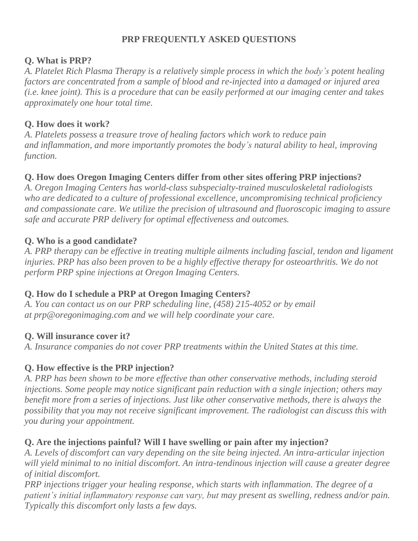# **PRP FREQUENTLY ASKED QUESTIONS**

#### **Q. What is PRP?**

*A. Platelet Rich Plasma Therapy is a relatively simple process in which the body's potent healing factors are concentrated from a sample of blood and re-injected into a damaged or injured area* (*i.e.* knee joint). This is a procedure that can be easily performed at our imaging center and takes *approximately one hour total time.*

#### **Q. How does it work?**

*A. Platelets possess a treasure trove of healing factors which work to reduce pain and inflammation, and more importantly promotes the body's natural ability to heal, improving function.*

## **Q. How does Oregon Imaging Centers differ from other sites offering PRP injections?**

*A. Oregon Imaging Centers has world-class subspecialty-trained musculoskeletal radiologists who are dedicated to a culture of professional excellence, uncompromising technical proficiency and compassionate care. We utilize the precision of ultrasound and fluoroscopic imaging to assure safe and accurate PRP delivery for optimal effectiveness and outcomes.*

## **Q. Who is a good candidate?**

*A. PRP therapy can be effective in treating multiple ailments including fascial, tendon and ligament injuries. PRP has also been proven to be a highly effective therapy for osteoarthritis. We do not perform PRP spine injections at Oregon Imaging Centers.*

## **Q. How do I schedule a PRP at Oregon Imaging Centers?**

*A. You can contact us on our PRP scheduling line, (458) 215-4052 or by email at prp@oregonimaging.com and we will help coordinate your care.*

## **Q. Will insurance cover it?**

*A. Insurance companies do not cover PRP treatments within the United States at this time.*

## **Q. How effective is the PRP injection?**

*A. PRP has been shown to be more effective than other conservative methods, including steroid injections. Some people may notice significant pain reduction with a single injection; others may benefit more from a series of injections. Just like other conservative methods, there is always the possibility that you may not receive significant improvement. The radiologist can discuss this with you during your appointment.*

## **Q. Are the injections painful? Will I have swelling or pain after my injection?**

*A. Levels of discomfort can vary depending on the site being injected. An intra-articular injection will yield minimal to no initial discomfort. An intra-tendinous injection will cause a greater degree of initial discomfort.*

*PRP injections trigger your healing response, which starts with inflammation. The degree of a patient's initial inflammatory response can vary, but may present as swelling, redness and/or pain. Typically this discomfort only lasts a few days.*